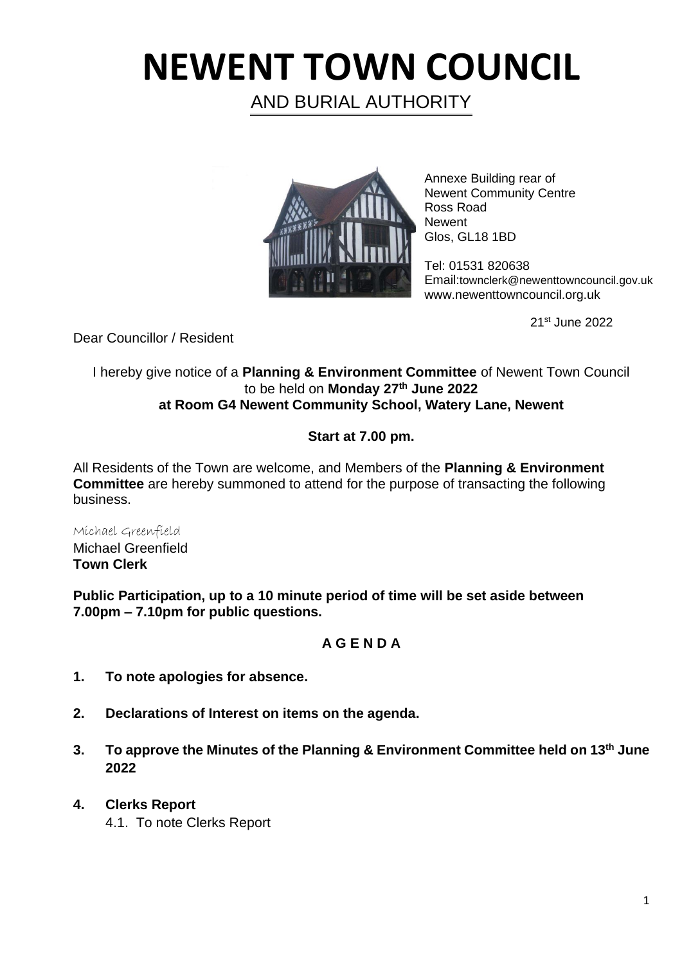# **NEWENT TOWN COUNCIL**

AND BURIAL AUTHORITY



Annexe Building rear of Newent Community Centre Ross Road **Newent** Glos, GL18 1BD

Tel: 01531 820638 Email:townclerk@newenttowncouncil.gov.uk www.newenttowncouncil.org.uk

21st June 2022

Dear Councillor / Resident

#### I hereby give notice of a **Planning & Environment Committee** of Newent Town Council to be held on **Monday 27th June 2022 at Room G4 Newent Community School, Watery Lane, Newent**

## **Start at 7.00 pm.**

All Residents of the Town are welcome, and Members of the **Planning & Environment Committee** are hereby summoned to attend for the purpose of transacting the following business.

Michael Greenfield Michael Greenfield **Town Clerk**

**Public Participation, up to a 10 minute period of time will be set aside between 7.00pm – 7.10pm for public questions.**

### **A G E N D A**

- **1. To note apologies for absence.**
- **2. Declarations of Interest on items on the agenda.**
- **3. To approve the Minutes of the Planning & Environment Committee held on 13th June 2022**
- **4. Clerks Report** 
	- 4.1. To note Clerks Report